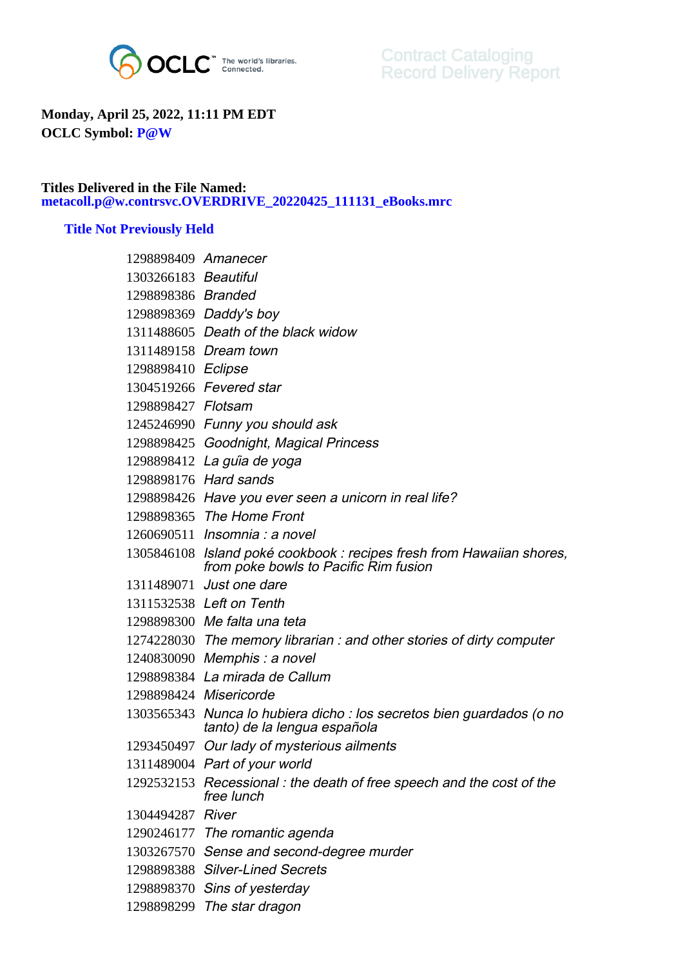

## **Monday, April 25, 2022, 11:11 PM EDT OCLC Symbol: P@W**

## **Titles Delivered in the File Named: metacoll.p@w.contrsvc.OVERDRIVE\_20220425\_111131\_eBooks.mrc**

## **Title Not Previously Held**

| 1298898409 Amanecer  |                                                                                                                |
|----------------------|----------------------------------------------------------------------------------------------------------------|
| 1303266183 Beautiful |                                                                                                                |
| 1298898386 Branded   |                                                                                                                |
|                      | 1298898369 Daddy's boy                                                                                         |
|                      | 1311488605 Death of the black widow                                                                            |
|                      | 1311489158 Dream town                                                                                          |
| 1298898410 Eclipse   |                                                                                                                |
|                      | 1304519266 Fevered star                                                                                        |
| 1298898427 Flotsam   |                                                                                                                |
|                      | 1245246990 Funny you should ask                                                                                |
|                      | 1298898425 Goodnight, Magical Princess                                                                         |
|                      | 1298898412 La guia de yoga                                                                                     |
|                      | 1298898176 Hard sands                                                                                          |
|                      | 1298898426 Have you ever seen a unicorn in real life?                                                          |
|                      | 1298898365 The Home Front                                                                                      |
|                      | 1260690511 Insomnia : a novel                                                                                  |
|                      | 1305846108 Island poké cookbook : recipes fresh from Hawaiian shores,<br>from poke bowls to Pacific Rim fusion |
|                      | 1311489071 Just one dare                                                                                       |
|                      | 1311532538 Left on Tenth                                                                                       |
|                      | 1298898300 Me falta una teta                                                                                   |
|                      | 1274228030 The memory librarian : and other stories of dirty computer                                          |
|                      | 1240830090 Memphis : a novel                                                                                   |
|                      | 1298898384 La mirada de Callum                                                                                 |
|                      | 1298898424 Misericorde                                                                                         |
|                      | 1303565343 Nunca lo hubiera dicho : los secretos bien guardados (o no<br>tanto) de la lengua española          |
|                      | 1293450497 Our lady of mysterious ailments                                                                     |
|                      | 1311489004 Part of your world                                                                                  |
|                      | 1292532153 Recessional: the death of free speech and the cost of the<br>free lunch                             |
| 1304494287 River     |                                                                                                                |
|                      | 1290246177 The romantic agenda                                                                                 |
|                      | 1303267570 Sense and second-degree murder                                                                      |
|                      | 1298898388 Silver-Lined Secrets                                                                                |
|                      | 1298898370 Sins of yesterday                                                                                   |
|                      | 1298898299 The star dragon                                                                                     |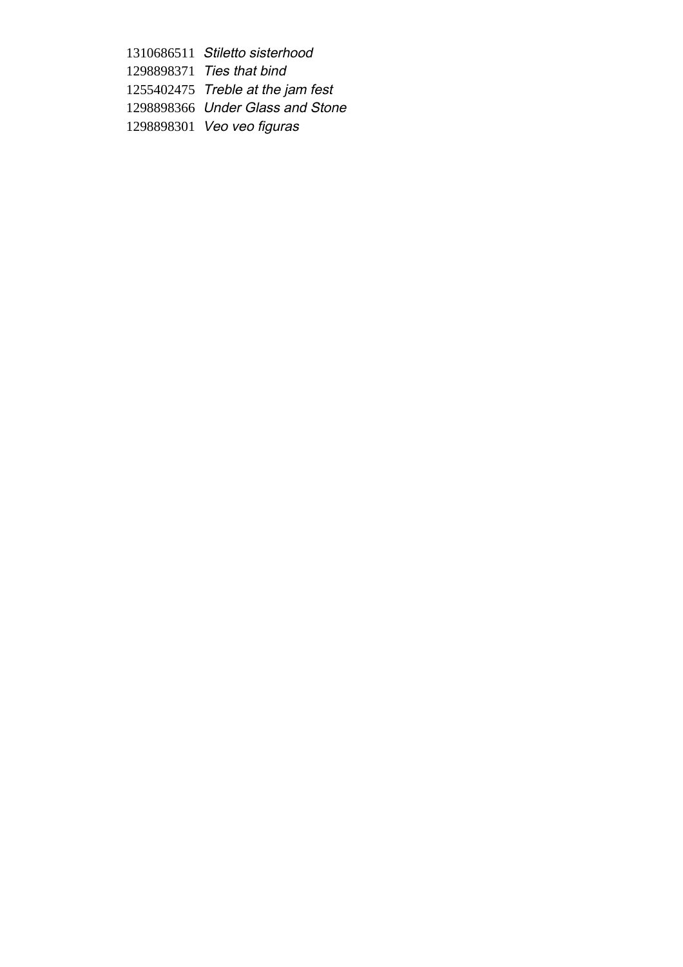1310686511 Stiletto sisterhood 1298898371 Ties that bind 1255402475 Treble at the jam fest 1298898366 Under Glass and Stone 1298898301 Veo veo figuras